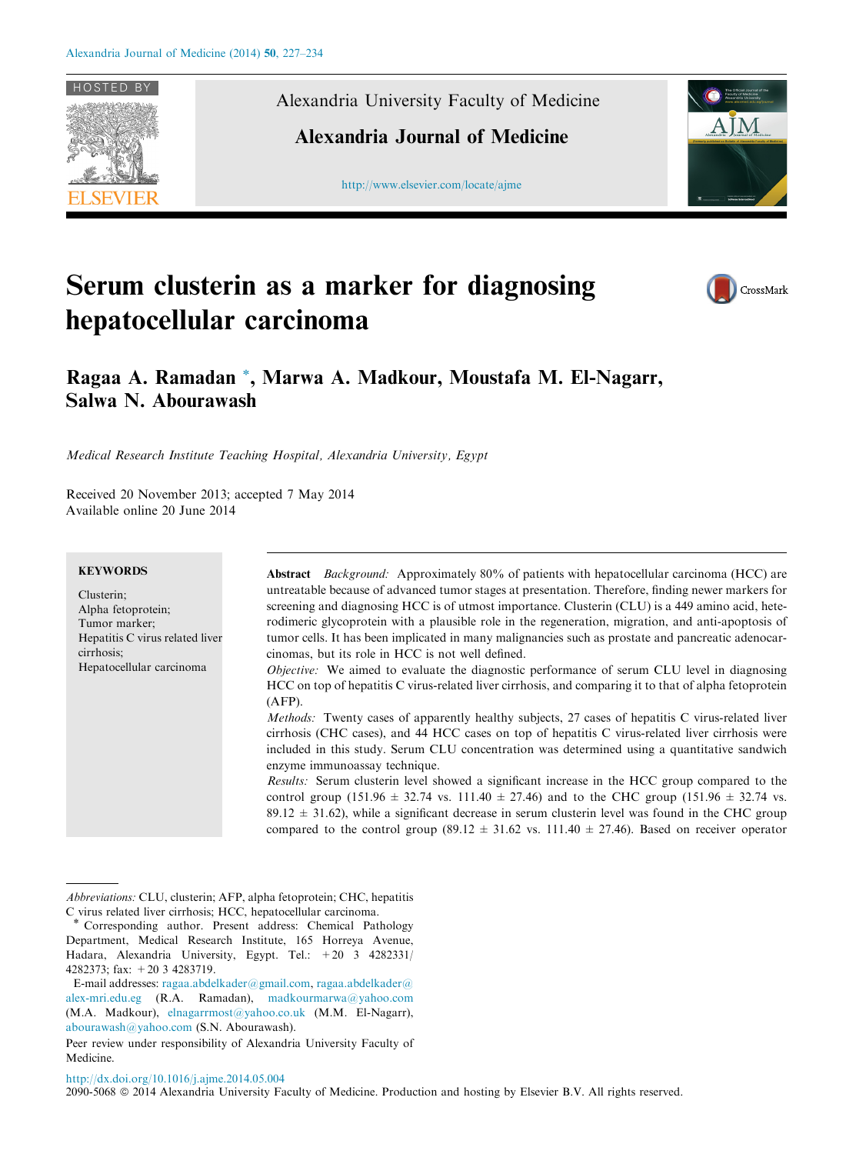

Alexandria University Faculty of Medicine

Alexandria Journal of Medicine





# Serum clusterin as a marker for diagnosing hepatocellular carcinoma



# Ragaa A. Ramadan \*, Marwa A. Madkour, Moustafa M. El-Nagarr, Salwa N. Abourawash

Medical Research Institute Teaching Hospital, Alexandria University, Egypt

Received 20 November 2013; accepted 7 May 2014 Available online 20 June 2014

# **KEYWORDS**

Clusterin; Alpha fetoprotein; Tumor marker; Hepatitis C virus related liver cirrhosis; Hepatocellular carcinoma

Abstract Background: Approximately 80% of patients with hepatocellular carcinoma (HCC) are untreatable because of advanced tumor stages at presentation. Therefore, finding newer markers for screening and diagnosing HCC is of utmost importance. Clusterin (CLU) is a 449 amino acid, heterodimeric glycoprotein with a plausible role in the regeneration, migration, and anti-apoptosis of tumor cells. It has been implicated in many malignancies such as prostate and pancreatic adenocarcinomas, but its role in HCC is not well defined.

Objective: We aimed to evaluate the diagnostic performance of serum CLU level in diagnosing HCC on top of hepatitis C virus-related liver cirrhosis, and comparing it to that of alpha fetoprotein (AFP).

Methods: Twenty cases of apparently healthy subjects, 27 cases of hepatitis C virus-related liver cirrhosis (CHC cases), and 44 HCC cases on top of hepatitis C virus-related liver cirrhosis were included in this study. Serum CLU concentration was determined using a quantitative sandwich enzyme immunoassay technique.

Results: Serum clusterin level showed a significant increase in the HCC group compared to the control group (151.96  $\pm$  32.74 vs. 111.40  $\pm$  27.46) and to the CHC group (151.96  $\pm$  32.74 vs.  $89.12 \pm 31.62$ ), while a significant decrease in serum clusterin level was found in the CHC group compared to the control group (89.12  $\pm$  31.62 vs. 111.40  $\pm$  27.46). Based on receiver operator

Abbreviations: CLU, clusterin; AFP, alpha fetoprotein; CHC, hepatitis C virus related liver cirrhosis; HCC, hepatocellular carcinoma.

<sup>\*</sup> Corresponding author. Present address: Chemical Pathology Department, Medical Research Institute, 165 Horreya Avenue, Hadara, Alexandria University, Egypt. Tel.: +20 3 4282331/ 4282373; fax: +20 3 4283719.

E-mail addresses: [ragaa.abdelkader@gmail.com,](mailto:ragaa.abdelkader@gmail.com) [ragaa.abdelkader@](mailto:ragaa.abdelkader@alex-mri.edu.eg) [alex-mri.edu.eg](mailto:ragaa.abdelkader@alex-mri.edu.eg) (R.A. Ramadan), [madkourmarwa@yahoo.com](mailto:madkourmarwa@yahoo.com) (M.A. Madkour), [elnagarrmost@yahoo.co.uk](mailto:elnagarrmost@yahoo.co.uk) (M.M. El-Nagarr), [abourawash@yahoo.com](mailto:abourawash@yahoo.com) (S.N. Abourawash).

Peer review under responsibility of Alexandria University Faculty of Medicine.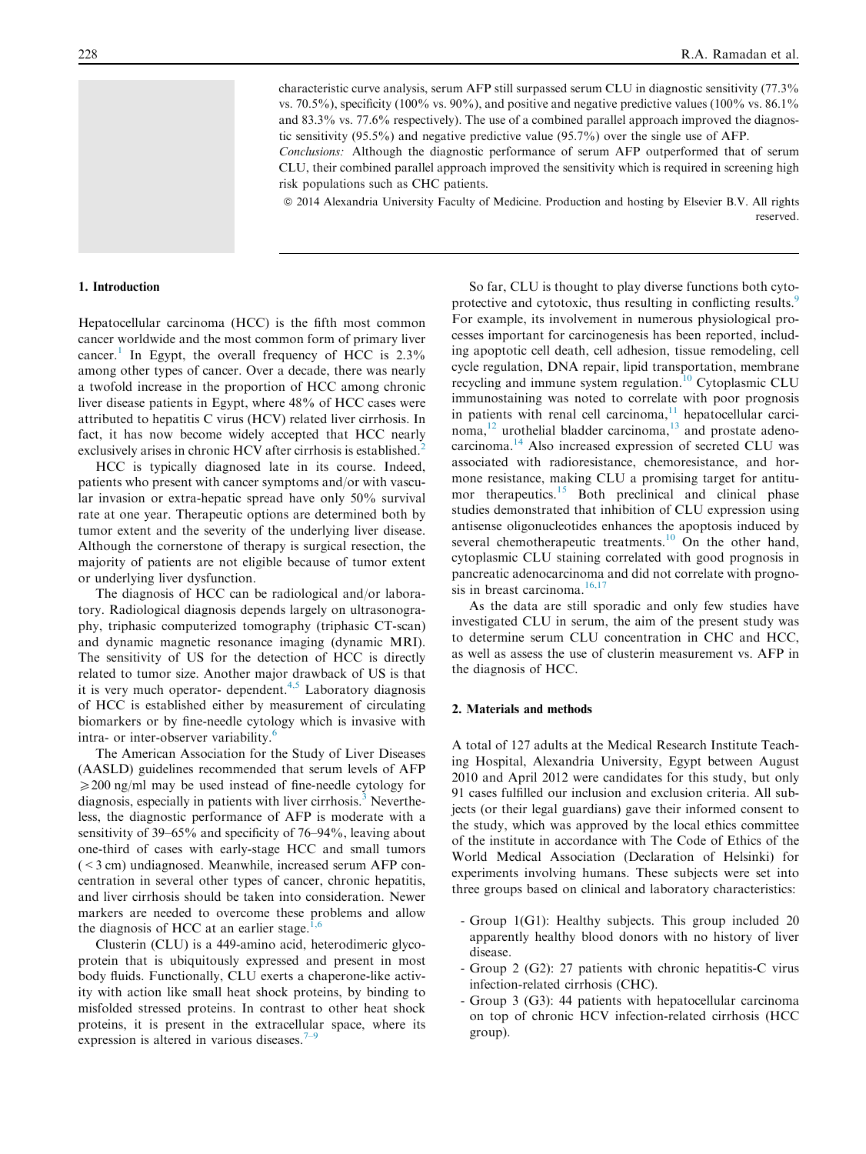characteristic curve analysis, serum AFP still surpassed serum CLU in diagnostic sensitivity (77.3% vs. 70.5%), specificity (100% vs. 90%), and positive and negative predictive values (100% vs. 86.1%) and 83.3% vs. 77.6% respectively). The use of a combined parallel approach improved the diagnostic sensitivity (95.5%) and negative predictive value (95.7%) over the single use of AFP.

Conclusions: Although the diagnostic performance of serum AFP outperformed that of serum CLU, their combined parallel approach improved the sensitivity which is required in screening high risk populations such as CHC patients.

 $@ 2014$  Alexandria University Faculty of Medicine. Production and hosting by Elsevier B.V. All rights reserved.

#### 1. Introduction

Hepatocellular carcinoma (HCC) is the fifth most common cancer worldwide and the most common form of primary liver cancer.<sup>[1](#page-6-0)</sup> In Egypt, the overall frequency of HCC is  $2.3\%$ among other types of cancer. Over a decade, there was nearly a twofold increase in the proportion of HCC among chronic liver disease patients in Egypt, where 48% of HCC cases were attributed to hepatitis C virus (HCV) related liver cirrhosis. In fact, it has now become widely accepted that HCC nearly exclusively arises in chronic HCV after cirrhosis is established.<sup>[2](#page-6-0)</sup>

HCC is typically diagnosed late in its course. Indeed, patients who present with cancer symptoms and/or with vascular invasion or extra-hepatic spread have only 50% survival rate at one year. Therapeutic options are determined both by tumor extent and the severity of the underlying liver disease. Although the cornerstone of therapy is surgical resection, the majority of patients are not eligible because of tumor extent or underlying liver dysfunction.

The diagnosis of HCC can be radiological and/or laboratory. Radiological diagnosis depends largely on ultrasonography, triphasic computerized tomography (triphasic CT-scan) and dynamic magnetic resonance imaging (dynamic MRI). The sensitivity of US for the detection of HCC is directly related to tumor size. Another major drawback of US is that it is very much operator- dependent.<sup>[4,5](#page-6-0)</sup> Laboratory diagnosis of HCC is established either by measurement of circulating biomarkers or by fine-needle cytology which is invasive with intra- or inter-observer variability.<sup>[6](#page-6-0)</sup>

The American Association for the Study of Liver Diseases (AASLD) guidelines recommended that serum levels of AFP  $\geq$  200 ng/ml may be used instead of fine-needle cytology for diagnosis, especially in patients with liver cirrhosis.<sup>[3](#page-6-0)</sup> Nevertheless, the diagnostic performance of AFP is moderate with a sensitivity of 39–65% and specificity of 76–94%, leaving about one-third of cases with early-stage HCC and small tumors  $(< 3$  cm) undiagnosed. Meanwhile, increased serum AFP concentration in several other types of cancer, chronic hepatitis, and liver cirrhosis should be taken into consideration. Newer markers are needed to overcome these problems and allow the diagnosis of HCC at an earlier stage. $1,6$ 

Clusterin (CLU) is a 449-amino acid, heterodimeric glycoprotein that is ubiquitously expressed and present in most body fluids. Functionally, CLU exerts a chaperone-like activity with action like small heat shock proteins, by binding to misfolded stressed proteins. In contrast to other heat shock proteins, it is present in the extracellular space, where its expression is altered in various diseases. $\frac{1}{2}$ 

So far, CLU is thought to play diverse functions both cyto-protective and cytotoxic, thus resulting in conflicting results.<sup>[9](#page-6-0)</sup> For example, its involvement in numerous physiological processes important for carcinogenesis has been reported, including apoptotic cell death, cell adhesion, tissue remodeling, cell cycle regulation, DNA repair, lipid transportation, membrane recycling and immune system regulation.<sup>[10](#page-6-0)</sup> Cytoplasmic CLU immunostaining was noted to correlate with poor prognosis in patients with renal cell carcinoma, $11$  hepatocellular carcinoma, $^{12}$  urothelial bladder carcinoma, $^{13}$  $^{13}$  $^{13}$  and prostate adenocarcinoma[.14](#page-6-0) Also increased expression of secreted CLU was associated with radioresistance, chemoresistance, and hormone resistance, making CLU a promising target for antitu-mor therapeutics.<sup>[15](#page-6-0)</sup> Both preclinical and clinical phase studies demonstrated that inhibition of CLU expression using antisense oligonucleotides enhances the apoptosis induced by several chemotherapeutic treatments.<sup>[10](#page-6-0)</sup> On the other hand, cytoplasmic CLU staining correlated with good prognosis in pancreatic adenocarcinoma and did not correlate with prognosis in breast carcinoma. $16,17$ 

As the data are still sporadic and only few studies have investigated CLU in serum, the aim of the present study was to determine serum CLU concentration in CHC and HCC, as well as assess the use of clusterin measurement vs. AFP in the diagnosis of HCC.

# 2. Materials and methods

A total of 127 adults at the Medical Research Institute Teaching Hospital, Alexandria University, Egypt between August 2010 and April 2012 were candidates for this study, but only 91 cases fulfilled our inclusion and exclusion criteria. All subjects (or their legal guardians) gave their informed consent to the study, which was approved by the local ethics committee of the institute in accordance with The Code of Ethics of the World Medical Association (Declaration of Helsinki) for experiments involving humans. These subjects were set into three groups based on clinical and laboratory characteristics:

- Group 1(G1): Healthy subjects. This group included 20 apparently healthy blood donors with no history of liver disease.
- Group 2 (G2): 27 patients with chronic hepatitis-C virus infection-related cirrhosis (CHC).
- Group 3 (G3): 44 patients with hepatocellular carcinoma on top of chronic HCV infection-related cirrhosis (HCC group).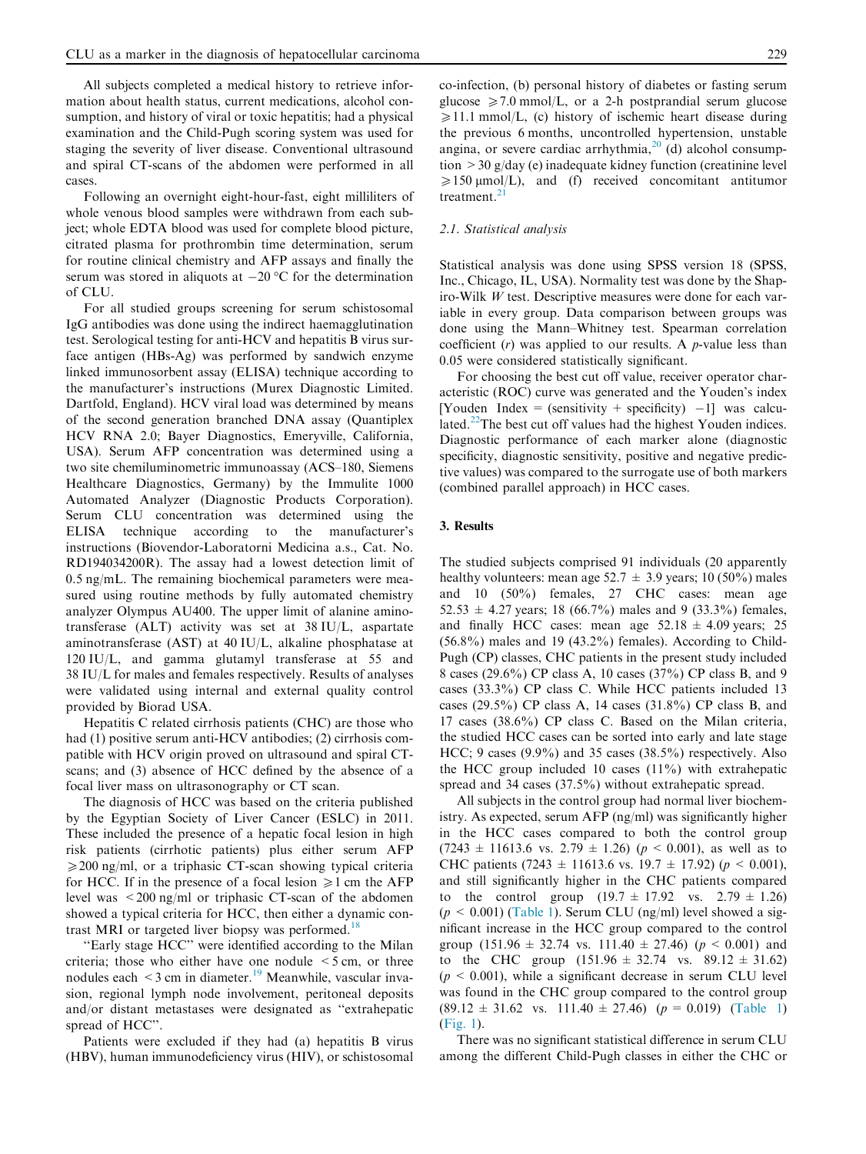All subjects completed a medical history to retrieve information about health status, current medications, alcohol consumption, and history of viral or toxic hepatitis; had a physical examination and the Child-Pugh scoring system was used for staging the severity of liver disease. Conventional ultrasound and spiral CT-scans of the abdomen were performed in all cases.

Following an overnight eight-hour-fast, eight milliliters of whole venous blood samples were withdrawn from each subject; whole EDTA blood was used for complete blood picture, citrated plasma for prothrombin time determination, serum for routine clinical chemistry and AFP assays and finally the serum was stored in aliquots at  $-20$  °C for the determination of CLU.

For all studied groups screening for serum schistosomal IgG antibodies was done using the indirect haemagglutination test. Serological testing for anti-HCV and hepatitis B virus surface antigen (HBs-Ag) was performed by sandwich enzyme linked immunosorbent assay (ELISA) technique according to the manufacturer's instructions (Murex Diagnostic Limited. Dartfold, England). HCV viral load was determined by means of the second generation branched DNA assay (Quantiplex HCV RNA 2.0; Bayer Diagnostics, Emeryville, California, USA). Serum AFP concentration was determined using a two site chemiluminometric immunoassay (ACS–180, Siemens Healthcare Diagnostics, Germany) by the Immulite 1000 Automated Analyzer (Diagnostic Products Corporation). Serum CLU concentration was determined using the ELISA technique according to the manufacturer's instructions (Biovendor-Laboratorni Medicina a.s., Cat. No. RD194034200R). The assay had a lowest detection limit of 0.5 ng/mL. The remaining biochemical parameters were measured using routine methods by fully automated chemistry analyzer Olympus AU400. The upper limit of alanine aminotransferase (ALT) activity was set at 38 IU/L, aspartate aminotransferase (AST) at 40 IU/L, alkaline phosphatase at 120 IU/L, and gamma glutamyl transferase at 55 and 38 IU/L for males and females respectively. Results of analyses were validated using internal and external quality control provided by Biorad USA.

Hepatitis C related cirrhosis patients (CHC) are those who had (1) positive serum anti-HCV antibodies; (2) cirrhosis compatible with HCV origin proved on ultrasound and spiral CTscans; and (3) absence of HCC defined by the absence of a focal liver mass on ultrasonography or CT scan.

The diagnosis of HCC was based on the criteria published by the Egyptian Society of Liver Cancer (ESLC) in 2011. These included the presence of a hepatic focal lesion in high risk patients (cirrhotic patients) plus either serum AFP  $\geq$ 200 ng/ml, or a triphasic CT-scan showing typical criteria for HCC. If in the presence of a focal lesion  $\geq 1$  cm the AFP level was <200 ng/ml or triphasic CT-scan of the abdomen showed a typical criteria for HCC, then either a dynamic con-trast MRI or targeted liver biopsy was performed.<sup>[18](#page-6-0)</sup>

''Early stage HCC'' were identified according to the Milan criteria; those who either have one nodule  $\leq$  5 cm, or three nodules each  $\leq$ 3 cm in diameter.<sup>[19](#page-6-0)</sup> Meanwhile, vascular invasion, regional lymph node involvement, peritoneal deposits and/or distant metastases were designated as ''extrahepatic spread of HCC''.

Patients were excluded if they had (a) hepatitis B virus (HBV), human immunodeficiency virus (HIV), or schistosomal co-infection, (b) personal history of diabetes or fasting serum glucose  $\geq 7.0$  mmol/L, or a 2-h postprandial serum glucose  $\geq 11.1$  mmol/L, (c) history of ischemic heart disease during the previous 6 months, uncontrolled hypertension, unstable angina, or severe cardiac arrhythmia, $^{20}$  $^{20}$  $^{20}$  (d) alcohol consumption >30 g/day (e) inadequate kidney function (creatinine level  $\geq 150 \text{ }\mu\text{mol/L}$ , and (f) received concomitant antitumor treatment.<sup>[21](#page-6-0)</sup>

#### 2.1. Statistical analysis

Statistical analysis was done using SPSS version 18 (SPSS, Inc., Chicago, IL, USA). Normality test was done by the Shapiro-Wilk  $W$  test. Descriptive measures were done for each variable in every group. Data comparison between groups was done using the Mann–Whitney test. Spearman correlation coefficient  $(r)$  was applied to our results. A *p*-value less than 0.05 were considered statistically significant.

For choosing the best cut off value, receiver operator characteristic (ROC) curve was generated and the Youden's index [Youden Index = (sensitivity + specificity)  $-1$ ] was calcu-lated.<sup>[22](#page-6-0)</sup>The best cut off values had the highest Youden indices. Diagnostic performance of each marker alone (diagnostic specificity, diagnostic sensitivity, positive and negative predictive values) was compared to the surrogate use of both markers (combined parallel approach) in HCC cases.

#### 3. Results

The studied subjects comprised 91 individuals (20 apparently healthy volunteers: mean age 52.7  $\pm$  3.9 years; 10 (50%) males and 10 (50%) females, 27 CHC cases: mean age  $52.53 \pm 4.27$  years; 18 (66.7%) males and 9 (33.3%) females, and finally HCC cases: mean age  $52.18 \pm 4.09$  years; 25  $(56.8\%)$  males and 19  $(43.2\%)$  females). According to Child-Pugh (CP) classes, CHC patients in the present study included 8 cases (29.6%) CP class A, 10 cases (37%) CP class B, and 9 cases (33.3%) CP class C. While HCC patients included 13 cases (29.5%) CP class A, 14 cases (31.8%) CP class B, and 17 cases (38.6%) CP class C. Based on the Milan criteria, the studied HCC cases can be sorted into early and late stage HCC; 9 cases (9.9%) and 35 cases (38.5%) respectively. Also the HCC group included 10 cases (11%) with extrahepatic spread and 34 cases (37.5%) without extrahepatic spread.

All subjects in the control group had normal liver biochemistry. As expected, serum AFP (ng/ml) was significantly higher in the HCC cases compared to both the control group  $(7243 \pm 11613.6 \text{ vs. } 2.79 \pm 1.26)$  ( $p < 0.001$ ), as well as to CHC patients (7243  $\pm$  11613.6 vs. 19.7  $\pm$  17.92) ( $p < 0.001$ ), and still significantly higher in the CHC patients compared to the control group  $(19.7 \pm 17.92 \text{ vs. } 2.79 \pm 1.26)$  $(p \le 0.001)$  [\(Table 1](#page-3-0)). Serum CLU (ng/ml) level showed a significant increase in the HCC group compared to the control group (151.96  $\pm$  32.74 vs. 111.40  $\pm$  27.46) ( $p < 0.001$ ) and to the CHC group  $(151.96 \pm 32.74 \text{ vs. } 89.12 \pm 31.62)$  $(p \le 0.001)$ , while a significant decrease in serum CLU level was found in the CHC group compared to the control group  $(89.12 \pm 31.62 \text{ vs. } 111.40 \pm 27.46)$   $(p = 0.019)$  ([Table 1\)](#page-3-0) [\(Fig. 1](#page-3-0)).

There was no significant statistical difference in serum CLU among the different Child-Pugh classes in either the CHC or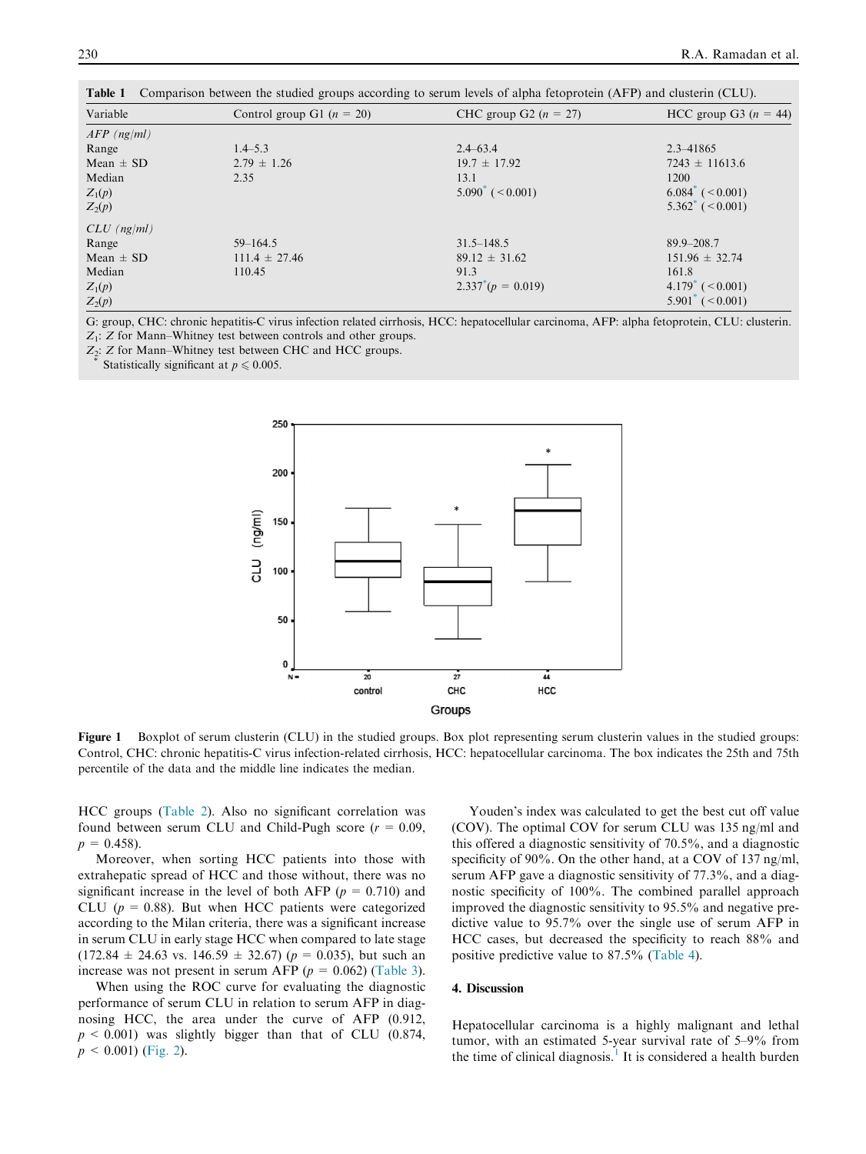| Variable      | Control group G1 ( $n = 20$ ) | CHC group G2 $(n = 27)$          | HCC group G3 $(n = 44)$            |  |  |
|---------------|-------------------------------|----------------------------------|------------------------------------|--|--|
| $AFP$ (ng/ml) |                               |                                  |                                    |  |  |
| Range         | $1.4 - 5.3$                   | $2.4 - 63.4$                     | $2.3 - 41865$                      |  |  |
| Mean $\pm$ SD | $2.79 \pm 1.26$               | $19.7 \pm 17.92$                 | $7243 \pm 11613.6$                 |  |  |
| Median        | 2.35                          | 13.1                             | 1200                               |  |  |
| $Z_1(p)$      |                               | $5.090^{\circ}$ ( $\leq 0.001$ ) | $6.084^*$ ( $\leq 0.001$ )         |  |  |
| $Z_2(p)$      |                               |                                  | $5.362^*$ ( $< 0.001$ )            |  |  |
| $CLU$ (ng/ml) |                               |                                  |                                    |  |  |
| Range         | $59 - 164.5$                  | $31.5 - 148.5$                   | $89.9 - 208.7$                     |  |  |
| Mean $\pm$ SD | $111.4 \pm 27.46$             | $89.12 \pm 31.62$                | $151.96 \pm 32.74$                 |  |  |
| Median        | 110.45                        | 91.3                             | 161.8                              |  |  |
| $Z_1(p)$      |                               | $2.337^*(p = 0.019)$             | $4.179^{\circ}$ ( $\leq 0.001$ )   |  |  |
| $Z_2(p)$      |                               |                                  | $5.901^{\degree}$ ( $\leq 0.001$ ) |  |  |

<span id="page-3-0"></span>Table 1 Comparison between the studied groups according to serum levels of alpha fetoprotein (AFP) and clusterin (CLU).

G: group, CHC: chronic hepatitis-C virus infection related cirrhosis, HCC: hepatocellular carcinoma, AFP: alpha fetoprotein, CLU: clusterin.  $Z_1$ :  $Z$  for Mann–Whitney test between controls and other groups.

 $Z_2$ : Z for Mann–Whitney test between CHC and HCC groups.  $*$  Statistically significant at  $p \le 0.005$ .



Figure 1 Boxplot of serum clusterin (CLU) in the studied groups. Box plot representing serum clusterin values in the studied groups: Control, CHC: chronic hepatitis-C virus infection-related cirrhosis, HCC: hepatocellular carcinoma. The box indicates the 25th and 75th percentile of the data and the middle line indicates the median.

HCC groups [\(Table 2\)](#page-4-0). Also no significant correlation was found between serum CLU and Child-Pugh score ( $r = 0.09$ ,  $p = 0.458$ .

Moreover, when sorting HCC patients into those with extrahepatic spread of HCC and those without, there was no significant increase in the level of both AFP ( $p = 0.710$ ) and CLU ( $p = 0.88$ ). But when HCC patients were categorized according to the Milan criteria, there was a significant increase in serum CLU in early stage HCC when compared to late stage  $(172.84 \pm 24.63 \text{ vs. } 146.59 \pm 32.67)$  ( $p = 0.035$ ), but such an increase was not present in serum AFP ( $p = 0.062$ ) [\(Table 3](#page-4-0)).

When using the ROC curve for evaluating the diagnostic performance of serum CLU in relation to serum AFP in diagnosing HCC, the area under the curve of AFP (0.912,  $p \leq 0.001$ ) was slightly bigger than that of CLU (0.874,  $p < 0.001$ ) [\(Fig. 2\)](#page-5-0).

Youden's index was calculated to get the best cut off value (COV). The optimal COV for serum CLU was 135 ng/ml and this offered a diagnostic sensitivity of 70.5%, and a diagnostic specificity of 90%. On the other hand, at a COV of 137 ng/ml, serum AFP gave a diagnostic sensitivity of 77.3%, and a diagnostic specificity of 100%. The combined parallel approach improved the diagnostic sensitivity to 95.5% and negative predictive value to 95.7% over the single use of serum AFP in HCC cases, but decreased the specificity to reach 88% and positive predictive value to 87.5% ([Table 4](#page-5-0)).

## 4. Discussion

Hepatocellular carcinoma is a highly malignant and lethal tumor, with an estimated 5-year survival rate of 5–9% from the time of clinical diagnosis.<sup>[1](#page-6-0)</sup> It is considered a health burden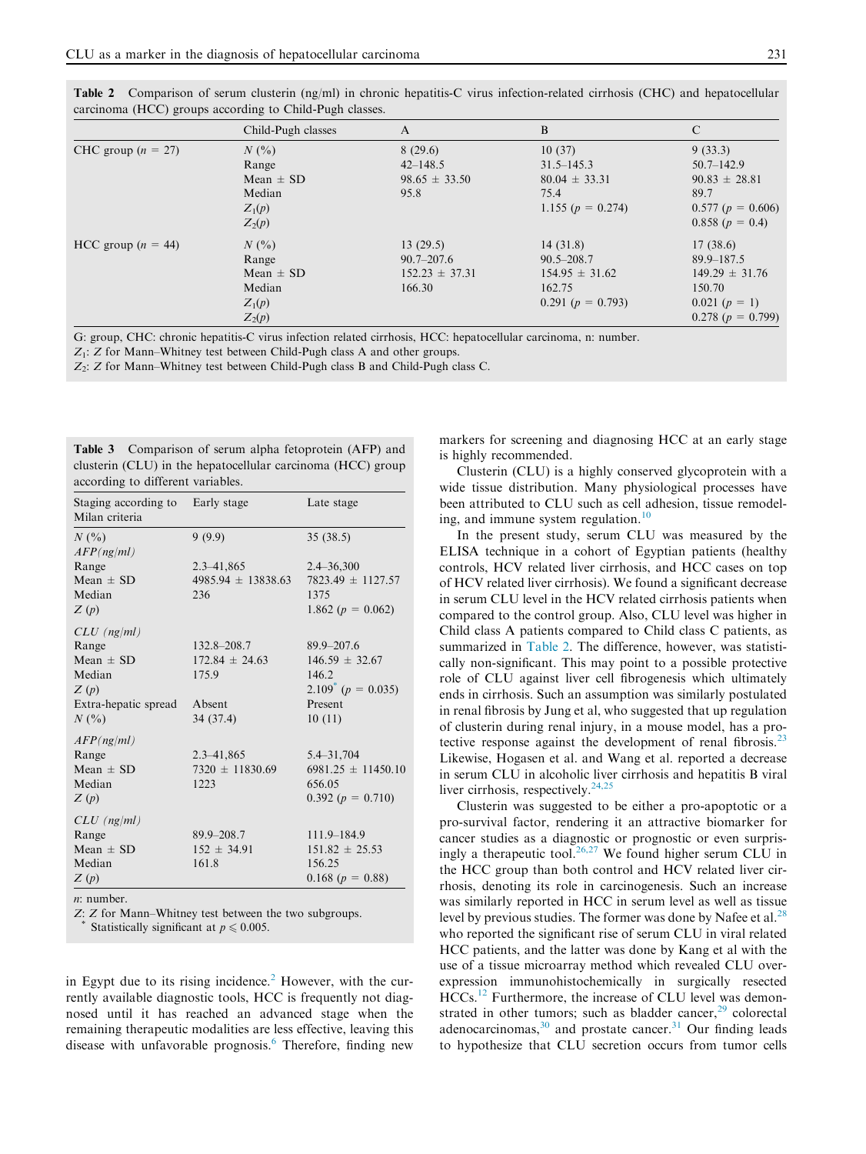<span id="page-4-0"></span>

| Table 2 Comparison of serum clusterin (ng/ml) in chronic hepatitis-C virus infection-related cirrhosis (CHC) and hepatocellular |  |  |  |  |  |
|---------------------------------------------------------------------------------------------------------------------------------|--|--|--|--|--|
| carcinoma (HCC) groups according to Child-Pugh classes.                                                                         |  |  |  |  |  |

|                      | Child-Pugh classes                                                  | A                                                          | B                                                                                   | $\mathbf C$                                                                                              |
|----------------------|---------------------------------------------------------------------|------------------------------------------------------------|-------------------------------------------------------------------------------------|----------------------------------------------------------------------------------------------------------|
| CHC group $(n = 27)$ | $N($ %)<br>Range<br>Mean $\pm$ SD<br>Median<br>$Z_1(p)$<br>$Z_2(p)$ | 8(29.6)<br>$42 - 148.5$<br>$98.65 \pm 33.50$<br>95.8       | 10(37)<br>$31.5 - 145.3$<br>$80.04 \pm 33.31$<br>75.4<br>1.155 ( $p = 0.274$ )      | 9(33.3)<br>$50.7 - 142.9$<br>$90.83 \pm 28.81$<br>89.7<br>$0.577$ ( $p = 0.606$ )<br>$0.858(p = 0.4)$    |
| HCC group $(n = 44)$ | $N($ %)<br>Range<br>Mean $\pm$ SD<br>Median<br>$Z_1(p)$<br>$Z_2(p)$ | 13(29.5)<br>$90.7 - 207.6$<br>$152.23 \pm 37.31$<br>166.30 | 14(31.8)<br>$90.5 - 208.7$<br>$154.95 \pm 31.62$<br>162.75<br>0.291 ( $p = 0.793$ ) | 17(38.6)<br>$89.9 - 187.5$<br>$149.29 \pm 31.76$<br>150.70<br>$0.021 (p = 1)$<br>$0.278$ ( $p = 0.799$ ) |

G: group, CHC: chronic hepatitis-C virus infection related cirrhosis, HCC: hepatocellular carcinoma, n: number.

 $Z_1$ : Z for Mann–Whitney test between Child-Pugh class A and other groups.

 $Z_2$ : Z for Mann–Whitney test between Child-Pugh class B and Child-Pugh class C.

| <b>Table 3</b> Comparison of serum alpha fetoprotein (AFP) and |  |  |
|----------------------------------------------------------------|--|--|
| clusterin (CLU) in the hepatocellular carcinoma (HCC) group    |  |  |
| according to different variables.                              |  |  |

| Staging according to<br>Milan criteria | Early stage            | Late stage                |  |  |
|----------------------------------------|------------------------|---------------------------|--|--|
| $N($ %)<br>AFP(ng/ml)                  | 9(9.9)                 | 35(38.5)                  |  |  |
| Range                                  | $2.3 - 41,865$         | $2.4 - 36,300$            |  |  |
| Mean $\pm$ SD                          | $4985.94 \pm 13838.63$ | $7823.49 \pm 1127.57$     |  |  |
| Median                                 | 236                    | 1375                      |  |  |
| Z(p)                                   |                        | 1.862 $(p = 0.062)$       |  |  |
| $CLU$ (ng/ml)                          |                        |                           |  |  |
| Range                                  | $132.8 - 208.7$        | $89.9 - 207.6$            |  |  |
| Mean $\pm$ SD                          | $172.84 \pm 24.63$     | $146.59 \pm 32.67$        |  |  |
| Median                                 | 175.9                  | 146.2                     |  |  |
| Z(p)                                   |                        | $2.109^*$ ( $p = 0.035$ ) |  |  |
| Extra-hepatic spread                   | Absent                 | Present                   |  |  |
| N(%                                    | 34(37.4)               | 10(11)                    |  |  |
| AFP(ng/ml)                             |                        |                           |  |  |
| Range                                  | $2.3 - 41,865$         | $5.4 - 31,704$            |  |  |
| Mean $\pm$ SD                          | $7320 \pm 11830.69$    | $6981.25 \pm 11450.10$    |  |  |
| Median                                 | 1223                   | 656.05                    |  |  |
| Z(p)                                   |                        | $0.392(p = 0.710)$        |  |  |
| $CLU$ (ng/ml)                          |                        |                           |  |  |
| Range                                  | $89.9 - 208.7$         | 111.9-184.9               |  |  |
| Mean $\pm$ SD                          | $152 \pm 34.91$        | $151.82 \pm 25.53$        |  |  |
| Median                                 | 161.8                  | 156.25                    |  |  |
| Z(p)                                   |                        | $0.168$ ( $p = 0.88$ )    |  |  |
| $n:$ number.                           |                        |                           |  |  |

Z: Z for Mann–Whitney test between the two subgroups. Statistically significant at  $p \leq 0.005$ .

in Egypt due to its rising incidence.<sup>[2](#page-6-0)</sup> However, with the currently available diagnostic tools, HCC is frequently not diagnosed until it has reached an advanced stage when the remaining therapeutic modalities are less effective, leaving this disease with unfavorable prognosis.<sup>[6](#page-6-0)</sup> Therefore, finding new markers for screening and diagnosing HCC at an early stage is highly recommended.

Clusterin (CLU) is a highly conserved glycoprotein with a wide tissue distribution. Many physiological processes have been attributed to CLU such as cell adhesion, tissue remodel-ing, and immune system regulation.<sup>[10](#page-6-0)</sup>

In the present study, serum CLU was measured by the ELISA technique in a cohort of Egyptian patients (healthy controls, HCV related liver cirrhosis, and HCC cases on top of HCV related liver cirrhosis). We found a significant decrease in serum CLU level in the HCV related cirrhosis patients when compared to the control group. Also, CLU level was higher in Child class A patients compared to Child class C patients, as summarized in Table 2. The difference, however, was statistically non-significant. This may point to a possible protective role of CLU against liver cell fibrogenesis which ultimately ends in cirrhosis. Such an assumption was similarly postulated in renal fibrosis by Jung et al, who suggested that up regulation of clusterin during renal injury, in a mouse model, has a pro-tective response against the development of renal fibrosis.<sup>[23](#page-6-0)</sup> Likewise, Hogasen et al. and Wang et al. reported a decrease in serum CLU in alcoholic liver cirrhosis and hepatitis B viral liver cirrhosis, respectively. $24,25$ 

Clusterin was suggested to be either a pro-apoptotic or a pro-survival factor, rendering it an attractive biomarker for cancer studies as a diagnostic or prognostic or even surpris-ingly a therapeutic tool.<sup>[26,27](#page-6-0)</sup> We found higher serum CLU in the HCC group than both control and HCV related liver cirrhosis, denoting its role in carcinogenesis. Such an increase was similarly reported in HCC in serum level as well as tissue level by previous studies. The former was done by Nafee et al.<sup>[28](#page-6-0)</sup> who reported the significant rise of serum CLU in viral related HCC patients, and the latter was done by Kang et al with the use of a tissue microarray method which revealed CLU overexpression immunohistochemically in surgically resected HCCs.<sup>[12](#page-6-0)</sup> Furthermore, the increase of CLU level was demonstrated in other tumors; such as bladder cancer, $29$  colorectal adenocarcinomas, $30$  and prostate cancer. $31$  Our finding leads to hypothesize that CLU secretion occurs from tumor cells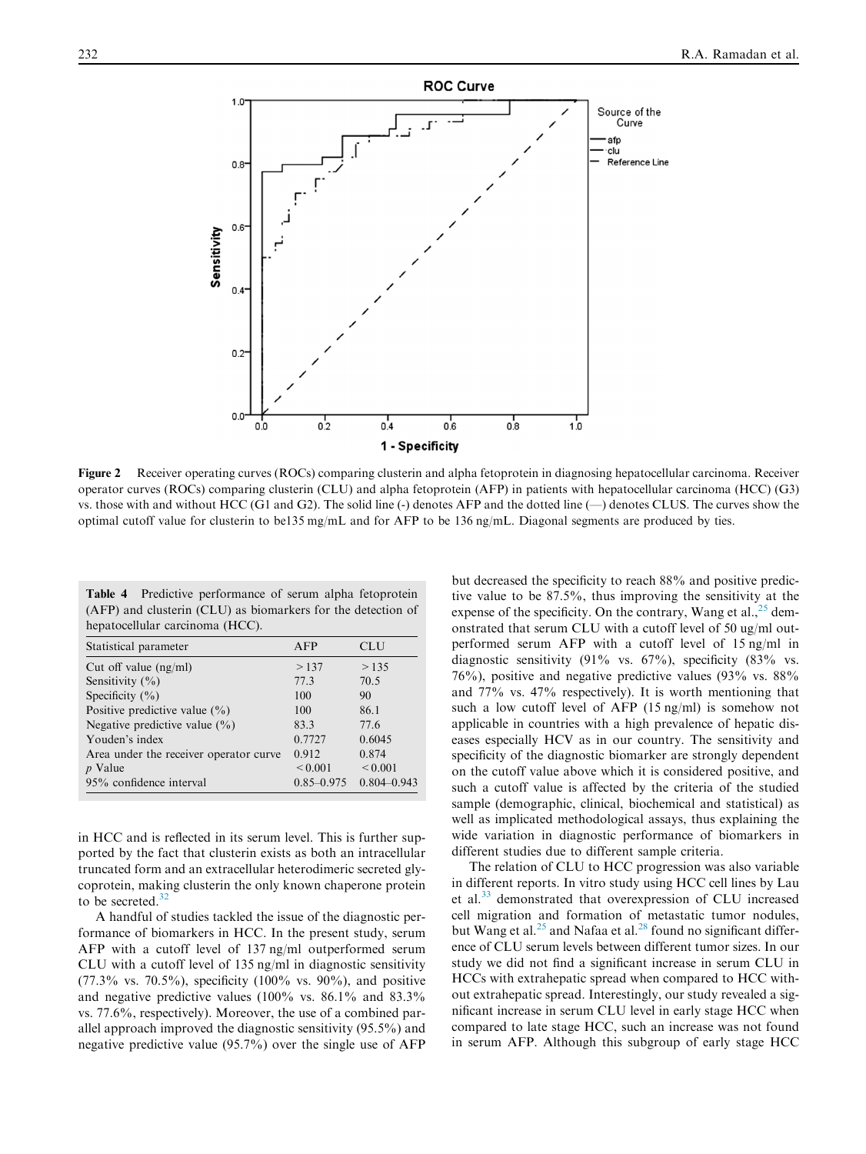<span id="page-5-0"></span>

Figure 2 Receiver operating curves (ROCs) comparing clusterin and alpha fetoprotein in diagnosing hepatocellular carcinoma. Receiver operator curves (ROCs) comparing clusterin (CLU) and alpha fetoprotein (AFP) in patients with hepatocellular carcinoma (HCC) (G3) vs. those with and without HCC (G1 and G2). The solid line  $\left(\text{-}\right)$  denotes AFP and the dotted line  $\left(\text{-}\right)$  denotes CLUS. The curves show the optimal cutoff value for clusterin to be135 mg/mL and for AFP to be 136 ng/mL. Diagonal segments are produced by ties.

|  | <b>Table 4</b> Predictive performance of serum alpha fetoprotein |  |  |  |
|--|------------------------------------------------------------------|--|--|--|
|  | (AFP) and clusterin (CLU) as biomarkers for the detection of     |  |  |  |
|  | hepatocellular carcinoma (HCC).                                  |  |  |  |

| Statistical parameter                  | AFP            | CLU             |
|----------------------------------------|----------------|-----------------|
| Cut off value $(ng/ml)$                | >137           | >135            |
| Sensitivity $(\% )$                    | 77.3           | 70.5            |
| Specificity $(\% )$                    | 100            | 90              |
| Positive predictive value $(\% )$      | 100            | 86.1            |
| Negative predictive value $(\% )$      | 83.3           | 77.6            |
| Youden's index                         | 0.7727         | 0.6045          |
| Area under the receiver operator curve | 0.912          | 0.874           |
| $p$ Value                              | ${}_{0.001}$   | ${}_{0.001}$    |
| 95% confidence interval                | $0.85 - 0.975$ | $0.804 - 0.943$ |

in HCC and is reflected in its serum level. This is further supported by the fact that clusterin exists as both an intracellular truncated form and an extracellular heterodimeric secreted glycoprotein, making clusterin the only known chaperone protein to be secreted.<sup>[32](#page-7-0)</sup>

A handful of studies tackled the issue of the diagnostic performance of biomarkers in HCC. In the present study, serum AFP with a cutoff level of 137 ng/ml outperformed serum CLU with a cutoff level of 135 ng/ml in diagnostic sensitivity  $(77.3\% \text{ vs. } 70.5\%)$ , specificity  $(100\% \text{ vs. } 90\%)$ , and positive and negative predictive values (100% vs. 86.1% and 83.3% vs. 77.6%, respectively). Moreover, the use of a combined parallel approach improved the diagnostic sensitivity (95.5%) and negative predictive value (95.7%) over the single use of AFP

but decreased the specificity to reach 88% and positive predictive value to be 87.5%, thus improving the sensitivity at the expense of the specificity. On the contrary, Wang et al.,  $^{25}$  $^{25}$  $^{25}$  demonstrated that serum CLU with a cutoff level of 50 ug/ml outperformed serum AFP with a cutoff level of 15 ng/ml in diagnostic sensitivity (91% vs. 67%), specificity (83% vs. 76%), positive and negative predictive values (93% vs. 88% and 77% vs. 47% respectively). It is worth mentioning that such a low cutoff level of AFP (15 ng/ml) is somehow not applicable in countries with a high prevalence of hepatic diseases especially HCV as in our country. The sensitivity and specificity of the diagnostic biomarker are strongly dependent on the cutoff value above which it is considered positive, and such a cutoff value is affected by the criteria of the studied sample (demographic, clinical, biochemical and statistical) as well as implicated methodological assays, thus explaining the wide variation in diagnostic performance of biomarkers in different studies due to different sample criteria.

The relation of CLU to HCC progression was also variable in different reports. In vitro study using HCC cell lines by Lau et al.[33](#page-7-0) demonstrated that overexpression of CLU increased cell migration and formation of metastatic tumor nodules, but Wang et al.<sup>[25](#page-6-0)</sup> and Nafaa et al.<sup>[28](#page-6-0)</sup> found no significant difference of CLU serum levels between different tumor sizes. In our study we did not find a significant increase in serum CLU in HCCs with extrahepatic spread when compared to HCC without extrahepatic spread. Interestingly, our study revealed a significant increase in serum CLU level in early stage HCC when compared to late stage HCC, such an increase was not found in serum AFP. Although this subgroup of early stage HCC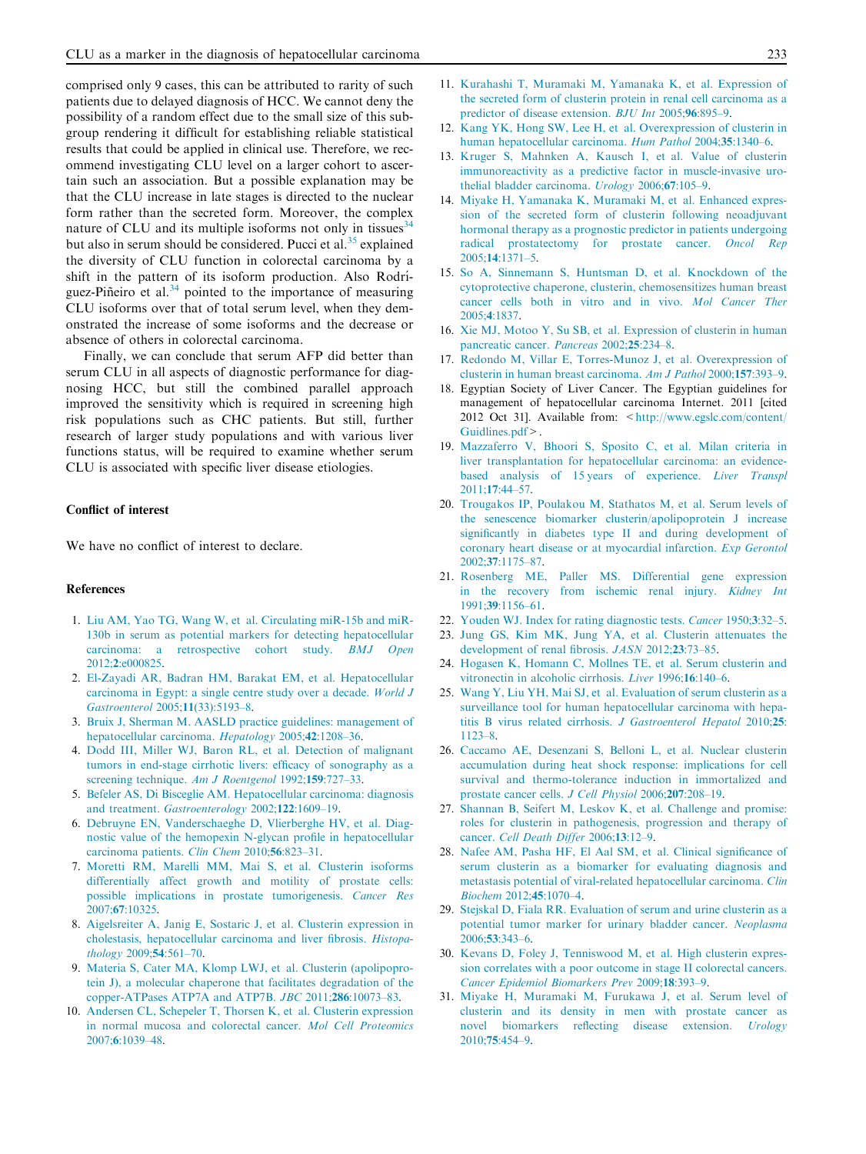<span id="page-6-0"></span>comprised only 9 cases, this can be attributed to rarity of such patients due to delayed diagnosis of HCC. We cannot deny the possibility of a random effect due to the small size of this subgroup rendering it difficult for establishing reliable statistical results that could be applied in clinical use. Therefore, we recommend investigating CLU level on a larger cohort to ascertain such an association. But a possible explanation may be that the CLU increase in late stages is directed to the nuclear form rather than the secreted form. Moreover, the complex nature of CLU and its multiple isoforms not only in tissues<sup>[34](#page-7-0)</sup> but also in serum should be considered. Pucci et al.<sup>[35](#page-7-0)</sup> explained the diversity of CLU function in colorectal carcinoma by a shift in the pattern of its isoform production. Also Rodriguez-Piñeiro et al. $34$  pointed to the importance of measuring CLU isoforms over that of total serum level, when they demonstrated the increase of some isoforms and the decrease or absence of others in colorectal carcinoma.

Finally, we can conclude that serum AFP did better than serum CLU in all aspects of diagnostic performance for diagnosing HCC, but still the combined parallel approach improved the sensitivity which is required in screening high risk populations such as CHC patients. But still, further research of larger study populations and with various liver functions status, will be required to examine whether serum CLU is associated with specific liver disease etiologies.

## Conflict of interest

We have no conflict of interest to declare.

# References

- 1. [Liu AM, Yao TG, Wang W, et al. Circulating miR-15b and miR-](http://refhub.elsevier.com/S2090-5068(14)00054-2/h0010)[130b in serum as potential markers for detecting hepatocellular](http://refhub.elsevier.com/S2090-5068(14)00054-2/h0010) [carcinoma: a retrospective cohort study.](http://refhub.elsevier.com/S2090-5068(14)00054-2/h0010) BMJ Open 2012;2[:e000825](http://refhub.elsevier.com/S2090-5068(14)00054-2/h0010).
- 2. [El-Zayadi AR, Badran HM, Barakat EM, et al. Hepatocellular](http://refhub.elsevier.com/S2090-5068(14)00054-2/h0015) [carcinoma in Egypt: a single centre study over a decade.](http://refhub.elsevier.com/S2090-5068(14)00054-2/h0015) World J [Gastroenterol](http://refhub.elsevier.com/S2090-5068(14)00054-2/h0015) 2005;11(33):5193–8.
- 3. [Bruix J, Sherman M. AASLD practice guidelines: management of](http://refhub.elsevier.com/S2090-5068(14)00054-2/h0020) [hepatocellular carcinoma.](http://refhub.elsevier.com/S2090-5068(14)00054-2/h0020) Hepatology 2005;42:1208–36.
- 4. [Dodd III, Miller WJ, Baron RL, et al. Detection of malignant](http://refhub.elsevier.com/S2090-5068(14)00054-2/h0025) [tumors in end-stage cirrhotic livers: efficacy of sonography as a](http://refhub.elsevier.com/S2090-5068(14)00054-2/h0025) [screening technique.](http://refhub.elsevier.com/S2090-5068(14)00054-2/h0025) Am J Roentgenol 1992;159:727-33.
- 5. [Befeler AS, Di Bisceglie AM. Hepatocellular carcinoma: diagnosis](http://refhub.elsevier.com/S2090-5068(14)00054-2/h0030) and treatment. [Gastroenterology](http://refhub.elsevier.com/S2090-5068(14)00054-2/h0030) 2002;122:1609–19.
- 6. [Debruyne EN, Vanderschaeghe D, Vlierberghe HV, et al. Diag](http://refhub.elsevier.com/S2090-5068(14)00054-2/h0035)[nostic value of the hemopexin N-glycan profile in hepatocellular](http://refhub.elsevier.com/S2090-5068(14)00054-2/h0035) [carcinoma patients.](http://refhub.elsevier.com/S2090-5068(14)00054-2/h0035) Clin Chem 2010;56:823–31.
- 7. [Moretti RM, Marelli MM, Mai S, et al. Clusterin isoforms](http://refhub.elsevier.com/S2090-5068(14)00054-2/h0040) [differentially affect growth and motility of prostate cells:](http://refhub.elsevier.com/S2090-5068(14)00054-2/h0040) [possible implications in prostate tumorigenesis.](http://refhub.elsevier.com/S2090-5068(14)00054-2/h0040) Cancer Res 2007;67[:10325.](http://refhub.elsevier.com/S2090-5068(14)00054-2/h0040)
- 8. [Aigelsreiter A, Janig E, Sostaric J, et al. Clusterin expression in](http://refhub.elsevier.com/S2090-5068(14)00054-2/h0045) [cholestasis, hepatocellular carcinoma and liver fibrosis.](http://refhub.elsevier.com/S2090-5068(14)00054-2/h0045) Histopathology 2009;54[:561–70.](http://refhub.elsevier.com/S2090-5068(14)00054-2/h0045)
- 9. [Materia S, Cater MA, Klomp LWJ, et al. Clusterin \(apolipopro](http://refhub.elsevier.com/S2090-5068(14)00054-2/h0050)[tein J\), a molecular chaperone that facilitates degradation of the](http://refhub.elsevier.com/S2090-5068(14)00054-2/h0050) [copper-ATPases ATP7A and ATP7B.](http://refhub.elsevier.com/S2090-5068(14)00054-2/h0050) JBC 2011;286:10073–83.
- 10. [Andersen CL, Schepeler T, Thorsen K, et al. Clusterin expression](http://refhub.elsevier.com/S2090-5068(14)00054-2/h0055) [in normal mucosa and colorectal cancer.](http://refhub.elsevier.com/S2090-5068(14)00054-2/h0055) Mol Cell Proteomics 2007;6[:1039–48.](http://refhub.elsevier.com/S2090-5068(14)00054-2/h0055)
- 11. [Kurahashi T, Muramaki M, Yamanaka K, et al. Expression of](http://refhub.elsevier.com/S2090-5068(14)00054-2/h0060) [the secreted form of clusterin protein in renal cell carcinoma as a](http://refhub.elsevier.com/S2090-5068(14)00054-2/h0060) [predictor of disease extension.](http://refhub.elsevier.com/S2090-5068(14)00054-2/h0060) BJU Int 2005;96:895–9.
- 12. [Kang YK, Hong SW, Lee H, et al. Overexpression of clusterin in](http://refhub.elsevier.com/S2090-5068(14)00054-2/h0065) [human hepatocellular carcinoma.](http://refhub.elsevier.com/S2090-5068(14)00054-2/h0065) Hum Pathol 2004;35:1340–6.
- 13. [Kruger S, Mahnken A, Kausch I, et al. Value of clusterin](http://refhub.elsevier.com/S2090-5068(14)00054-2/h0070) [immunoreactivity as a predictive factor in muscle-invasive uro](http://refhub.elsevier.com/S2090-5068(14)00054-2/h0070)[thelial bladder carcinoma.](http://refhub.elsevier.com/S2090-5068(14)00054-2/h0070) *Urology* 2006;67:105–9.
- 14. [Miyake H, Yamanaka K, Muramaki M, et al. Enhanced expres](http://refhub.elsevier.com/S2090-5068(14)00054-2/h0075)[sion of the secreted form of clusterin following neoadjuvant](http://refhub.elsevier.com/S2090-5068(14)00054-2/h0075) [hormonal therapy as a prognostic predictor in patients undergoing](http://refhub.elsevier.com/S2090-5068(14)00054-2/h0075) [radical prostatectomy for prostate cancer.](http://refhub.elsevier.com/S2090-5068(14)00054-2/h0075) Oncol Rep 2005;14[:1371–5.](http://refhub.elsevier.com/S2090-5068(14)00054-2/h0075)
- 15. [So A, Sinnemann S, Huntsman D, et al. Knockdown of the](http://refhub.elsevier.com/S2090-5068(14)00054-2/h0080) [cytoprotective chaperone, clusterin, chemosensitizes human breast](http://refhub.elsevier.com/S2090-5068(14)00054-2/h0080) [cancer cells both in vitro and in vivo.](http://refhub.elsevier.com/S2090-5068(14)00054-2/h0080) Mol Cancer Ther 2005;4[:1837.](http://refhub.elsevier.com/S2090-5068(14)00054-2/h0080)
- 16. [Xie MJ, Motoo Y, Su SB, et al. Expression of clusterin in human](http://refhub.elsevier.com/S2090-5068(14)00054-2/h0085) [pancreatic cancer.](http://refhub.elsevier.com/S2090-5068(14)00054-2/h0085) Pancreas 2002;25:234–8.
- 17. [Redondo M, Villar E, Torres-Munoz J, et al. Overexpression of](http://refhub.elsevier.com/S2090-5068(14)00054-2/h0090) [clusterin in human breast carcinoma.](http://refhub.elsevier.com/S2090-5068(14)00054-2/h0090) Am J Pathol 2000;157:393–9.
- 18. Egyptian Society of Liver Cancer. The Egyptian guidelines for management of hepatocellular carcinoma Internet. 2011 [cited 2012 Oct 31]. Available from: [<http://www.egslc.com/content/](http://www.egslc.com/content/Guidlines.pdf)  $Guidlines$   $ndf$
- 19. [Mazzaferro V, Bhoori S, Sposito C, et al. Milan criteria in](http://refhub.elsevier.com/S2090-5068(14)00054-2/h0100) [liver transplantation for hepatocellular carcinoma: an evidence](http://refhub.elsevier.com/S2090-5068(14)00054-2/h0100)[based analysis of 15 years of experience.](http://refhub.elsevier.com/S2090-5068(14)00054-2/h0100) Liver Transpl 2011;17[:44–57.](http://refhub.elsevier.com/S2090-5068(14)00054-2/h0100)
- 20. [Trougakos IP, Poulakou M, Stathatos M, et al. Serum levels of](http://refhub.elsevier.com/S2090-5068(14)00054-2/h0105) [the senescence biomarker clusterin/apolipoprotein J increase](http://refhub.elsevier.com/S2090-5068(14)00054-2/h0105) [significantly in diabetes type II and during development of](http://refhub.elsevier.com/S2090-5068(14)00054-2/h0105) [coronary heart disease or at myocardial infarction.](http://refhub.elsevier.com/S2090-5068(14)00054-2/h0105) Exp Gerontol 2002;37[:1175–87.](http://refhub.elsevier.com/S2090-5068(14)00054-2/h0105)
- 21. [Rosenberg ME, Paller MS. Differential gene expression](http://refhub.elsevier.com/S2090-5068(14)00054-2/h0110) [in the recovery from ischemic renal injury.](http://refhub.elsevier.com/S2090-5068(14)00054-2/h0110) Kidney Int 1991;39[:1156–61.](http://refhub.elsevier.com/S2090-5068(14)00054-2/h0110)
- 22. [Youden WJ. Index for rating diagnostic tests.](http://refhub.elsevier.com/S2090-5068(14)00054-2/h0115) Cancer 1950;3:32–5.
- 23. [Jung GS, Kim MK, Jung YA, et al. Clusterin attenuates the](http://refhub.elsevier.com/S2090-5068(14)00054-2/h0120) [development of renal fibrosis.](http://refhub.elsevier.com/S2090-5068(14)00054-2/h0120) JASN 2012;23:73–85.
- 24. [Hogasen K, Homann C, Mollnes TE, et al. Serum clusterin and](http://refhub.elsevier.com/S2090-5068(14)00054-2/h0125) [vitronectin in alcoholic cirrhosis.](http://refhub.elsevier.com/S2090-5068(14)00054-2/h0125) Liver 1996;16:140–6.
- 25. [Wang Y, Liu YH, Mai SJ, et al. Evaluation of serum clusterin as a](http://refhub.elsevier.com/S2090-5068(14)00054-2/h0130) [surveillance tool for human hepatocellular carcinoma with hepa](http://refhub.elsevier.com/S2090-5068(14)00054-2/h0130)[titis B virus related cirrhosis.](http://refhub.elsevier.com/S2090-5068(14)00054-2/h0130) J Gastroenterol Hepatol 2010;25: [1123–8](http://refhub.elsevier.com/S2090-5068(14)00054-2/h0130).
- 26. [Caccamo AE, Desenzani S, Belloni L, et al. Nuclear clusterin](http://refhub.elsevier.com/S2090-5068(14)00054-2/h0135) [accumulation during heat shock response: implications for cell](http://refhub.elsevier.com/S2090-5068(14)00054-2/h0135) [survival and thermo-tolerance induction in immortalized and](http://refhub.elsevier.com/S2090-5068(14)00054-2/h0135) [prostate cancer cells.](http://refhub.elsevier.com/S2090-5068(14)00054-2/h0135) J Cell Physiol 2006;207:208–19.
- 27. [Shannan B, Seifert M, Leskov K, et al. Challenge and promise:](http://refhub.elsevier.com/S2090-5068(14)00054-2/h0140) [roles for clusterin in pathogenesis, progression and therapy of](http://refhub.elsevier.com/S2090-5068(14)00054-2/h0140) cancer. [Cell Death Differ](http://refhub.elsevier.com/S2090-5068(14)00054-2/h0140) 2006;13:12–9.
- 28. [Nafee AM, Pasha HF, El Aal SM, et al. Clinical significance of](http://refhub.elsevier.com/S2090-5068(14)00054-2/h0145) [serum clusterin as a biomarker for evaluating diagnosis and](http://refhub.elsevier.com/S2090-5068(14)00054-2/h0145) [metastasis potential of viral-related hepatocellular carcinoma.](http://refhub.elsevier.com/S2090-5068(14)00054-2/h0145) Clin [Biochem](http://refhub.elsevier.com/S2090-5068(14)00054-2/h0145) 2012;45:1070–4.
- 29. [Stejskal D, Fiala RR. Evaluation of serum and urine clusterin as a](http://refhub.elsevier.com/S2090-5068(14)00054-2/h0150) [potential tumor marker for urinary bladder cancer.](http://refhub.elsevier.com/S2090-5068(14)00054-2/h0150) Neoplasma 2006;53[:343–6.](http://refhub.elsevier.com/S2090-5068(14)00054-2/h0150)
- 30. [Kevans D, Foley J, Tenniswood M, et al. High clusterin expres](http://refhub.elsevier.com/S2090-5068(14)00054-2/h0155)[sion correlates with a poor outcome in stage II colorectal cancers.](http://refhub.elsevier.com/S2090-5068(14)00054-2/h0155) [Cancer Epidemiol Biomarkers Prev](http://refhub.elsevier.com/S2090-5068(14)00054-2/h0155) 2009;18:393–9.
- 31. [Miyake H, Muramaki M, Furukawa J, et al. Serum level of](http://refhub.elsevier.com/S2090-5068(14)00054-2/h0160) [clusterin and its density in men with prostate cancer as](http://refhub.elsevier.com/S2090-5068(14)00054-2/h0160) [novel biomarkers reflecting disease extension.](http://refhub.elsevier.com/S2090-5068(14)00054-2/h0160) Urology 2010;75[:454–9.](http://refhub.elsevier.com/S2090-5068(14)00054-2/h0160)